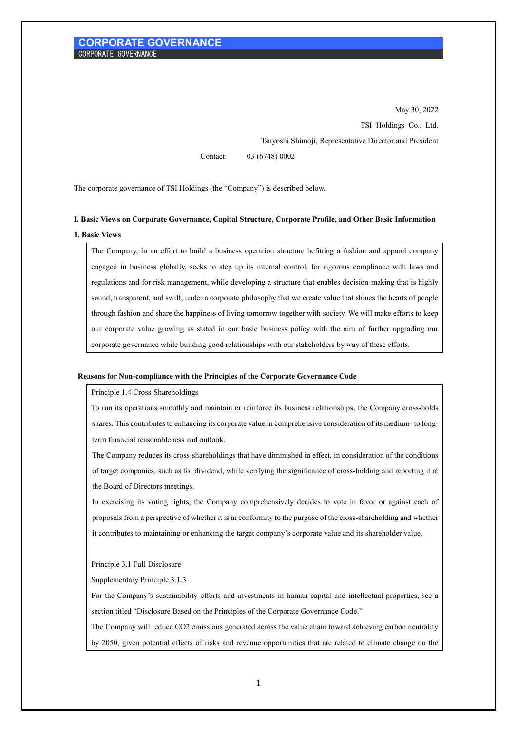May 30, 2022 TSI Holdings Co., Ltd. Tsuyoshi Shimoji, Representative Director and President

Contact: 03 (6748) 0002

The corporate governance of TSI Holdings (the "Company") is described below.

# **I. Basic Views on Corporate Governance, Capital Structure, Corporate Profile, and Other Basic Information 1. Basic Views**

The Company, in an effort to build a business operation structure befitting a fashion and apparel company engaged in business globally, seeks to step up its internal control, for rigorous compliance with laws and regulations and for risk management, while developing a structure that enables decision-making that is highly sound, transparent, and swift, under a corporate philosophy that we create value that shines the hearts of people through fashion and share the happiness of living tomorrow together with society. We will make efforts to keep our corporate value growing as stated in our basic business policy with the aim of further upgrading our corporate governance while building good relationships with our stakeholders by way of these efforts.

#### **Reasons for Non-compliance with the Principles of the Corporate Governance Code**

Principle 1.4 Cross-Shareholdings

To run its operations smoothly and maintain or reinforce its business relationships, the Company cross-holds shares. This contributes to enhancing its corporate value in comprehensive consideration of its medium- to longterm financial reasonableness and outlook.

The Company reduces its cross-shareholdings that have diminished in effect, in consideration of the conditions of target companies, such as for dividend, while verifying the significance of cross-holding and reporting it at the Board of Directors meetings.

In exercising its voting rights, the Company comprehensively decides to vote in favor or against each of proposals from a perspective of whether it is in conformity to the purpose of the cross-shareholding and whether it contributes to maintaining or enhancing the target company's corporate value and its shareholder value.

Principle 3.1 Full Disclosure

Supplementary Principle 3.1.3

For the Company's sustainability efforts and investments in human capital and intellectual properties, see a section titled "Disclosure Based on the Principles of the Corporate Governance Code."

The Company will reduce CO2 emissions generated across the value chain toward achieving carbon neutrality by 2050, given potential effects of risks and revenue opportunities that are related to climate change on the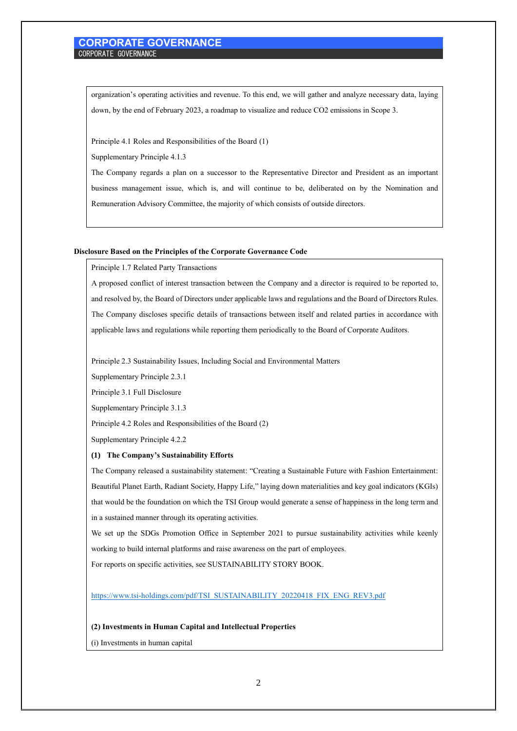organization's operating activities and revenue. To this end, we will gather and analyze necessary data, laying down, by the end of February 2023, a roadmap to visualize and reduce CO2 emissions in Scope 3.

Principle 4.1 Roles and Responsibilities of the Board (1)

Supplementary Principle 4.1.3

The Company regards a plan on a successor to the Representative Director and President as an important business management issue, which is, and will continue to be, deliberated on by the Nomination and Remuneration Advisory Committee, the majority of which consists of outside directors.

#### **Disclosure Based on the Principles of the Corporate Governance Code**

Principle 1.7 Related Party Transactions

A proposed conflict of interest transaction between the Company and a director is required to be reported to, and resolved by, the Board of Directors under applicable laws and regulations and the Board of Directors Rules. The Company discloses specific details of transactions between itself and related parties in accordance with applicable laws and regulations while reporting them periodically to the Board of Corporate Auditors.

Principle 2.3 Sustainability Issues, Including Social and Environmental Matters

Supplementary Principle 2.3.1

Principle 3.1 Full Disclosure

Supplementary Principle 3.1.3

Principle 4.2 Roles and Responsibilities of the Board (2)

Supplementary Principle 4.2.2

### **(1) The Company's Sustainability Efforts**

The Company released a sustainability statement: "Creating a Sustainable Future with Fashion Entertainment: Beautiful Planet Earth, Radiant Society, Happy Life," laying down materialities and key goal indicators (KGIs) that would be the foundation on which the TSI Group would generate a sense of happiness in the long term and in a sustained manner through its operating activities.

We set up the SDGs Promotion Office in September 2021 to pursue sustainability activities while keenly working to build internal platforms and raise awareness on the part of employees.

For reports on specific activities, see SUSTAINABILITY STORY BOOK.

[https://www.tsi-holdings.com/pdf/TSI\\_SUSTAINABILITY\\_20220418\\_FIX\\_ENG\\_REV3.pdf](https://www.tsi-holdings.com/pdf/TSI_SUSTAINABILITY_20220418_FIX_ENG_REV3.pdf)

#### **(2) Investments in Human Capital and Intellectual Properties**

(i) Investments in human capital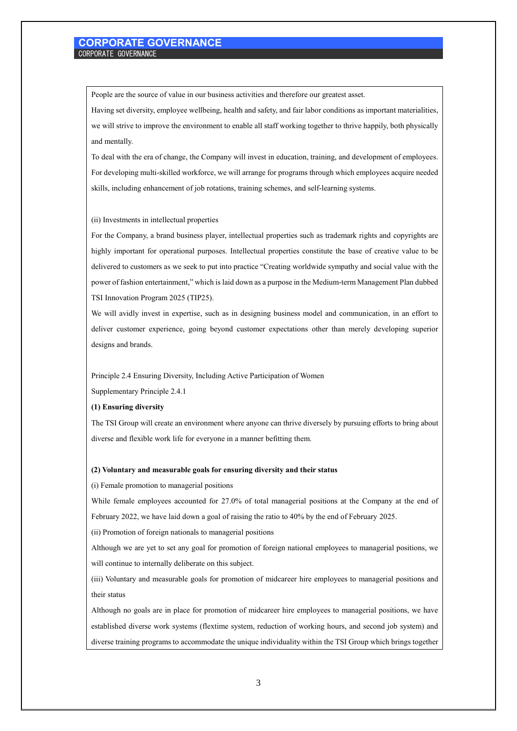People are the source of value in our business activities and therefore our greatest asset.

Having set diversity, employee wellbeing, health and safety, and fair labor conditions as important materialities, we will strive to improve the environment to enable all staff working together to thrive happily, both physically and mentally.

To deal with the era of change, the Company will invest in education, training, and development of employees. For developing multi-skilled workforce, we will arrange for programs through which employees acquire needed skills, including enhancement of job rotations, training schemes, and self-learning systems.

(ii) Investments in intellectual properties

For the Company, a brand business player, intellectual properties such as trademark rights and copyrights are highly important for operational purposes. Intellectual properties constitute the base of creative value to be delivered to customers as we seek to put into practice "Creating worldwide sympathy and social value with the power of fashion entertainment," which is laid down as a purpose in the Medium-term Management Plan dubbed TSI Innovation Program 2025 (TIP25).

We will avidly invest in expertise, such as in designing business model and communication, in an effort to deliver customer experience, going beyond customer expectations other than merely developing superior designs and brands.

Principle 2.4 Ensuring Diversity, Including Active Participation of Women

Supplementary Principle 2.4.1

### **(1) Ensuring diversity**

The TSI Group will create an environment where anyone can thrive diversely by pursuing efforts to bring about diverse and flexible work life for everyone in a manner befitting them.

#### **(2) Voluntary and measurable goals for ensuring diversity and their status**

(i) Female promotion to managerial positions

While female employees accounted for 27.0% of total managerial positions at the Company at the end of February 2022, we have laid down a goal of raising the ratio to 40% by the end of February 2025.

(ii) Promotion of foreign nationals to managerial positions

Although we are yet to set any goal for promotion of foreign national employees to managerial positions, we will continue to internally deliberate on this subject.

(iii) Voluntary and measurable goals for promotion of midcareer hire employees to managerial positions and their status

Although no goals are in place for promotion of midcareer hire employees to managerial positions, we have established diverse work systems (flextime system, reduction of working hours, and second job system) and diverse training programs to accommodate the unique individuality within the TSI Group which brings together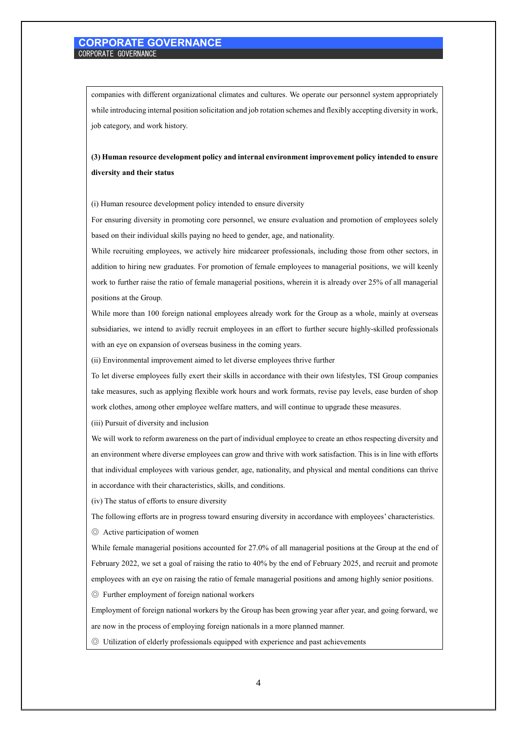companies with different organizational climates and cultures. We operate our personnel system appropriately while introducing internal position solicitation and job rotation schemes and flexibly accepting diversity in work, job category, and work history.

# **(3) Human resource development policy and internal environment improvement policy intended to ensure diversity and their status**

(i) Human resource development policy intended to ensure diversity

For ensuring diversity in promoting core personnel, we ensure evaluation and promotion of employees solely based on their individual skills paying no heed to gender, age, and nationality.

While recruiting employees, we actively hire midcareer professionals, including those from other sectors, in addition to hiring new graduates. For promotion of female employees to managerial positions, we will keenly work to further raise the ratio of female managerial positions, wherein it is already over 25% of all managerial positions at the Group.

While more than 100 foreign national employees already work for the Group as a whole, mainly at overseas subsidiaries, we intend to avidly recruit employees in an effort to further secure highly-skilled professionals with an eye on expansion of overseas business in the coming years.

(ii) Environmental improvement aimed to let diverse employees thrive further

To let diverse employees fully exert their skills in accordance with their own lifestyles, TSI Group companies take measures, such as applying flexible work hours and work formats, revise pay levels, ease burden of shop work clothes, among other employee welfare matters, and will continue to upgrade these measures.

(iii) Pursuit of diversity and inclusion

We will work to reform awareness on the part of individual employee to create an ethos respecting diversity and an environment where diverse employees can grow and thrive with work satisfaction. This is in line with efforts that individual employees with various gender, age, nationality, and physical and mental conditions can thrive in accordance with their characteristics, skills, and conditions.

(iv) The status of efforts to ensure diversity

The following efforts are in progress toward ensuring diversity in accordance with employees' characteristics. ◎ Active participation of women

While female managerial positions accounted for 27.0% of all managerial positions at the Group at the end of February 2022, we set a goal of raising the ratio to 40% by the end of February 2025, and recruit and promote employees with an eye on raising the ratio of female managerial positions and among highly senior positions.

◎ Further employment of foreign national workers

Employment of foreign national workers by the Group has been growing year after year, and going forward, we are now in the process of employing foreign nationals in a more planned manner.

◎ Utilization of elderly professionals equipped with experience and past achievements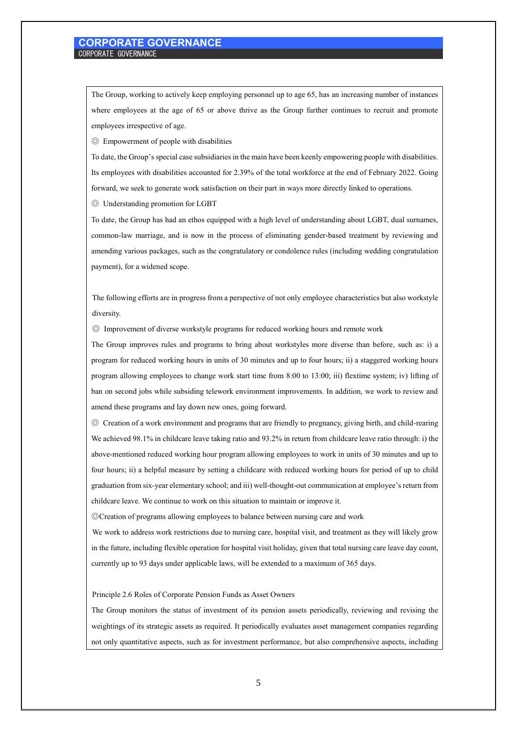The Group, working to actively keep employing personnel up to age 65, has an increasing number of instances where employees at the age of 65 or above thrive as the Group further continues to recruit and promote employees irrespective of age.

◎ Empowerment of people with disabilities

To date, the Group's special case subsidiaries in the main have been keenly empowering people with disabilities. Its employees with disabilities accounted for 2.39% of the total workforce at the end of February 2022. Going forward, we seek to generate work satisfaction on their part in ways more directly linked to operations. ◎ Understanding promotion for LGBT

To date, the Group has had an ethos equipped with a high level of understanding about LGBT, dual surnames, common-law marriage, and is now in the process of eliminating gender-based treatment by reviewing and amending various packages, such as the congratulatory or condolence rules (including wedding congratulation payment), for a widened scope.

The following efforts are in progress from a perspective of not only employee characteristics but also workstyle diversity.

◎ Improvement of diverse workstyle programs for reduced working hours and remote work

The Group improves rules and programs to bring about workstyles more diverse than before, such as: i) a program for reduced working hours in units of 30 minutes and up to four hours; ii) a staggered working hours program allowing employees to change work start time from 8:00 to 13:00; iii) flextime system; iv) lifting of ban on second jobs while subsiding telework environment improvements. In addition, we work to review and amend these programs and lay down new ones, going forward.

◎ Creation of a work environment and programs that are friendly to pregnancy, giving birth, and child-rearing We achieved 98.1% in childcare leave taking ratio and 93.2% in return from childcare leave ratio through: i) the above-mentioned reduced working hour program allowing employees to work in units of 30 minutes and up to four hours; ii) a helpful measure by setting a childcare with reduced working hours for period of up to child graduation from six-year elementary school; and iii) well-thought-out communication at employee's return from childcare leave. We continue to work on this situation to maintain or improve it.

◎Creation of programs allowing employees to balance between nursing care and work

We work to address work restrictions due to nursing care, hospital visit, and treatment as they will likely grow in the future, including flexible operation for hospital visit holiday, given that total nursing care leave day count, currently up to 93 days under applicable laws, will be extended to a maximum of 365 days.

Principle 2.6 Roles of Corporate Pension Funds as Asset Owners

The Group monitors the status of investment of its pension assets periodically, reviewing and revising the weightings of its strategic assets as required. It periodically evaluates asset management companies regarding not only quantitative aspects, such as for investment performance, but also comprehensive aspects, including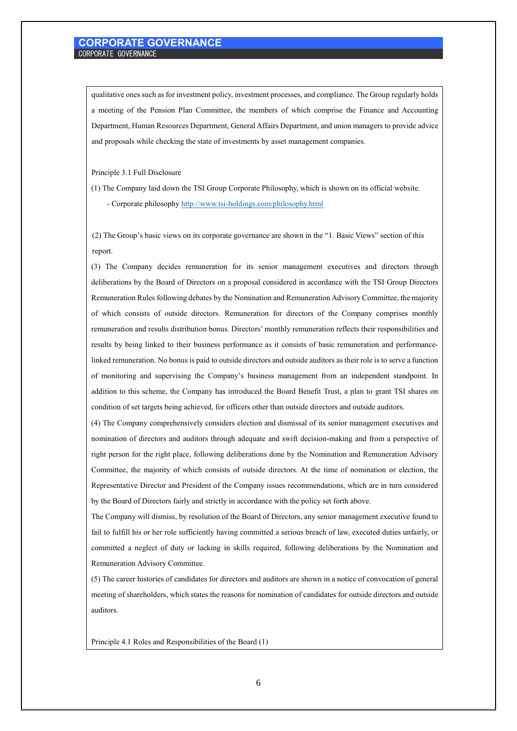qualitative ones such as for investment policy, investment processes, and compliance. The Group regularly holds a meeting of the Pension Plan Committee, the members of which comprise the Finance and Accounting Department, Human Resources Department, General Affairs Department, and union managers to provide advice and proposals while checking the state of investments by asset management companies.

Principle 3.1 Full Disclosure

(1) The Company laid down the TSI Group Corporate Philosophy, which is shown on its official website. - Corporate philosophy <http://www.tsi-holdings.com/philosophy.html>

(2) The Group's basic views on its corporate governance are shown in the "1. Basic Views" section of this report.

(3) The Company decides remuneration for its senior management executives and directors through deliberations by the Board of Directors on a proposal considered in accordance with the TSI Group Directors Remuneration Rules following debates by the Nomination and Remuneration Advisory Committee, the majority of which consists of outside directors. Remuneration for directors of the Company comprises monthly remuneration and results distribution bonus. Directors' monthly remuneration reflects their responsibilities and results by being linked to their business performance as it consists of basic remuneration and performancelinked remuneration. No bonus is paid to outside directors and outside auditors as their role is to serve a function of monitoring and supervising the Company's business management from an independent standpoint. In addition to this scheme, the Company has introduced the Board Benefit Trust, a plan to grant TSI shares on condition of set targets being achieved, for officers other than outside directors and outside auditors.

(4) The Company comprehensively considers election and dismissal of its senior management executives and nomination of directors and auditors through adequate and swift decision-making and from a perspective of right person for the right place, following deliberations done by the Nomination and Remuneration Advisory Committee, the majority of which consists of outside directors. At the time of nomination or election, the Representative Director and President of the Company issues recommendations, which are in turn considered by the Board of Directors fairly and strictly in accordance with the policy set forth above.

The Company will dismiss, by resolution of the Board of Directors, any senior management executive found to fail to fulfill his or her role sufficiently having committed a serious breach of law, executed duties unfairly, or committed a neglect of duty or lacking in skills required, following deliberations by the Nomination and Remuneration Advisory Committee.

(5) The career histories of candidates for directors and auditors are shown in a notice of convocation of general meeting of shareholders, which states the reasons for nomination of candidates for outside directors and outside auditors.

Principle 4.1 Roles and Responsibilities of the Board (1)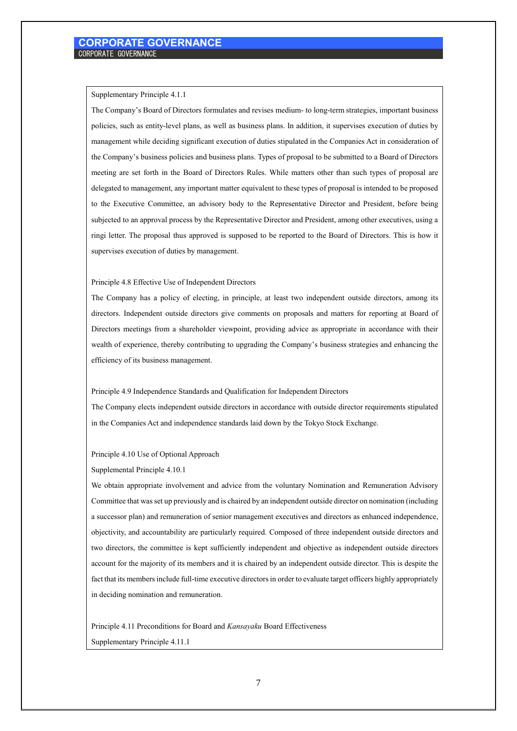#### Supplementary Principle 4.1.1

The Company's Board of Directors formulates and revises medium- to long-term strategies, important business policies, such as entity-level plans, as well as business plans. In addition, it supervises execution of duties by management while deciding significant execution of duties stipulated in the Companies Act in consideration of the Company's business policies and business plans. Types of proposal to be submitted to a Board of Directors meeting are set forth in the Board of Directors Rules. While matters other than such types of proposal are delegated to management, any important matter equivalent to these types of proposal is intended to be proposed to the Executive Committee, an advisory body to the Representative Director and President, before being subjected to an approval process by the Representative Director and President, among other executives, using a ringi letter. The proposal thus approved is supposed to be reported to the Board of Directors. This is how it supervises execution of duties by management.

#### Principle 4.8 Effective Use of Independent Directors

The Company has a policy of electing, in principle, at least two independent outside directors, among its directors. Independent outside directors give comments on proposals and matters for reporting at Board of Directors meetings from a shareholder viewpoint, providing advice as appropriate in accordance with their wealth of experience, thereby contributing to upgrading the Company's business strategies and enhancing the efficiency of its business management.

#### Principle 4.9 Independence Standards and Qualification for Independent Directors

The Company elects independent outside directors in accordance with outside director requirements stipulated in the Companies Act and independence standards laid down by the Tokyo Stock Exchange.

#### Principle 4.10 Use of Optional Approach

Supplemental Principle 4.10.1

We obtain appropriate involvement and advice from the voluntary Nomination and Remuneration Advisory Committee that was set up previously and is chaired by an independent outside director on nomination (including a successor plan) and remuneration of senior management executives and directors as enhanced independence, objectivity, and accountability are particularly required. Composed of three independent outside directors and two directors, the committee is kept sufficiently independent and objective as independent outside directors account for the majority of its members and it is chaired by an independent outside director. This is despite the fact that its members include full-time executive directors in order to evaluate target officers highly appropriately in deciding nomination and remuneration.

Principle 4.11 Preconditions for Board and *Kansayaku* Board Effectiveness Supplementary Principle 4.11.1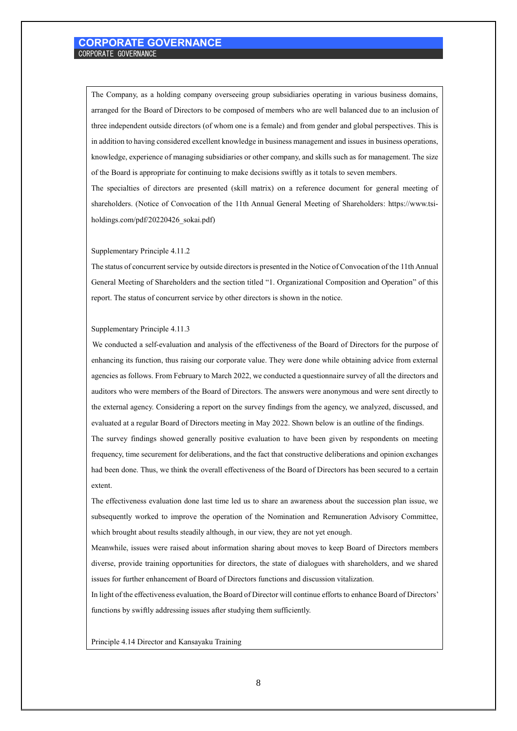The Company, as a holding company overseeing group subsidiaries operating in various business domains, arranged for the Board of Directors to be composed of members who are well balanced due to an inclusion of three independent outside directors (of whom one is a female) and from gender and global perspectives. This is in addition to having considered excellent knowledge in business management and issues in business operations, knowledge, experience of managing subsidiaries or other company, and skills such as for management. The size of the Board is appropriate for continuing to make decisions swiftly as it totals to seven members.

The specialties of directors are presented (skill matrix) on a reference document for general meeting of shareholders. (Notice of Convocation of the 11th Annual General Meeting of Shareholders: https://www.tsiholdings.com/pdf/20220426\_sokai.pdf)

#### Supplementary Principle 4.11.2

The status of concurrent service by outside directors is presented in the Notice of Convocation of the 11th Annual General Meeting of Shareholders and the section titled "1. Organizational Composition and Operation" of this report. The status of concurrent service by other directors is shown in the notice.

#### Supplementary Principle 4.11.3

We conducted a self-evaluation and analysis of the effectiveness of the Board of Directors for the purpose of enhancing its function, thus raising our corporate value. They were done while obtaining advice from external agencies as follows. From February to March 2022, we conducted a questionnaire survey of all the directors and auditors who were members of the Board of Directors. The answers were anonymous and were sent directly to the external agency. Considering a report on the survey findings from the agency, we analyzed, discussed, and evaluated at a regular Board of Directors meeting in May 2022. Shown below is an outline of the findings.

The survey findings showed generally positive evaluation to have been given by respondents on meeting frequency, time securement for deliberations, and the fact that constructive deliberations and opinion exchanges had been done. Thus, we think the overall effectiveness of the Board of Directors has been secured to a certain extent.

The effectiveness evaluation done last time led us to share an awareness about the succession plan issue, we subsequently worked to improve the operation of the Nomination and Remuneration Advisory Committee, which brought about results steadily although, in our view, they are not yet enough.

Meanwhile, issues were raised about information sharing about moves to keep Board of Directors members diverse, provide training opportunities for directors, the state of dialogues with shareholders, and we shared issues for further enhancement of Board of Directors functions and discussion vitalization.

In light of the effectiveness evaluation, the Board of Director will continue efforts to enhance Board of Directors' functions by swiftly addressing issues after studying them sufficiently.

Principle 4.14 Director and Kansayaku Training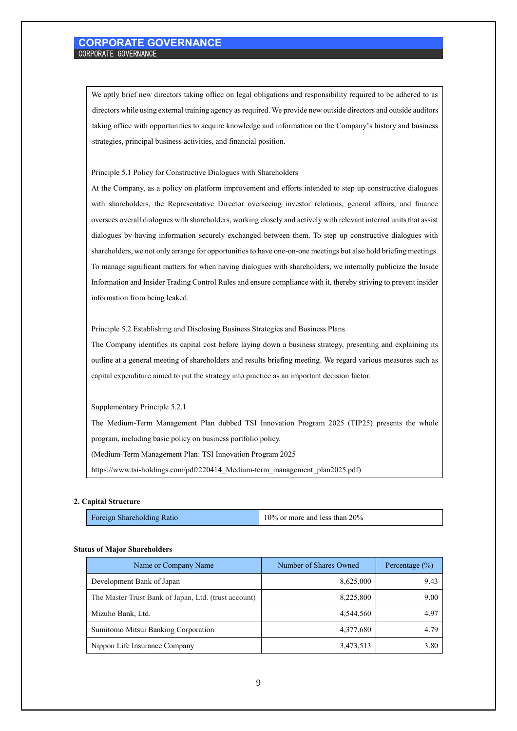We aptly brief new directors taking office on legal obligations and responsibility required to be adhered to as directors while using external training agency as required. We provide new outside directors and outside auditors taking office with opportunities to acquire knowledge and information on the Company's history and business strategies, principal business activities, and financial position.

#### Principle 5.1 Policy for Constructive Dialogues with Shareholders

At the Company, as a policy on platform improvement and efforts intended to step up constructive dialogues with shareholders, the Representative Director overseeing investor relations, general affairs, and finance oversees overall dialogues with shareholders, working closely and actively with relevant internal units that assist dialogues by having information securely exchanged between them. To step up constructive dialogues with shareholders, we not only arrange for opportunities to have one-on-one meetings but also hold briefing meetings. To manage significant matters for when having dialogues with shareholders, we internally publicize the Inside Information and Insider Trading Control Rules and ensure compliance with it, thereby striving to prevent insider information from being leaked.

### Principle 5.2 Establishing and Disclosing Business Strategies and Business Plans

The Company identifies its capital cost before laying down a business strategy, presenting and explaining its outline at a general meeting of shareholders and results briefing meeting. We regard various measures such as capital expenditure aimed to put the strategy into practice as an important decision factor.

### Supplementary Principle 5.2.1

The Medium-Term Management Plan dubbed TSI Innovation Program 2025 (TIP25) presents the whole program, including basic policy on business portfolio policy.

(Medium-Term Management Plan: TSI Innovation Program 2025

https://www.tsi-holdings.com/pdf/220414\_Medium-term\_management\_plan2025.pdf)

#### **2. Capital Structure**

| $10\%$ or more and less than 20%<br>Foreign Shareholding Ratio |
|----------------------------------------------------------------|
|----------------------------------------------------------------|

#### **Status of Major Shareholders**

| Name or Company Name                                 | Number of Shares Owned | Percentage $(\% )$ |  |  |
|------------------------------------------------------|------------------------|--------------------|--|--|
| Development Bank of Japan                            | 8,625,000              | 9.43               |  |  |
| The Master Trust Bank of Japan, Ltd. (trust account) | 8,225,800              | 9.00               |  |  |
| Mizuho Bank, Ltd.                                    | 4,544,560              | 4.97               |  |  |
| Sumitomo Mitsui Banking Corporation                  | 4,377,680              | 4.79               |  |  |
| Nippon Life Insurance Company                        | 3,473,513              | 3.80               |  |  |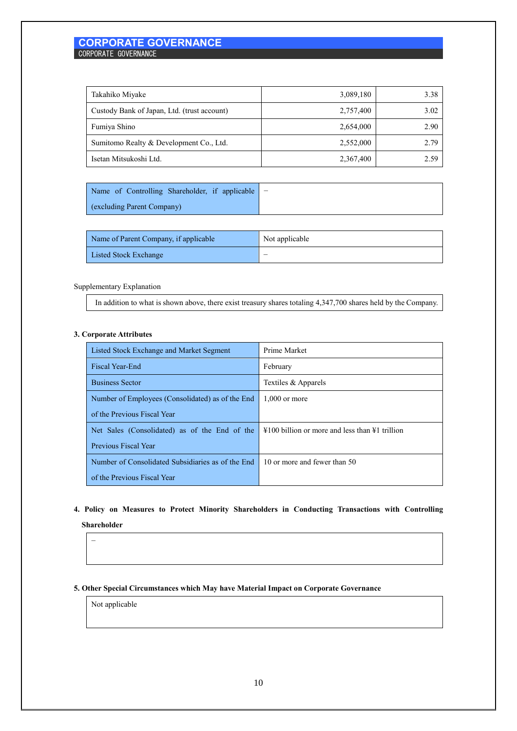| Takahiko Miyake                             | 3,089,180 | 3.38 |
|---------------------------------------------|-----------|------|
| Custody Bank of Japan, Ltd. (trust account) | 2,757,400 | 3.02 |
| Fumiya Shino                                | 2,654,000 | 2.90 |
| Sumitomo Realty & Development Co., Ltd.     | 2,552,000 | 2.79 |
| Isetan Mitsukoshi Ltd.                      | 2,367,400 | 2.59 |

| Name of Controlling Shareholder, if applicable $\vert - \vert$ |  |
|----------------------------------------------------------------|--|
| (excluding Parent Company)                                     |  |

| Name of Parent Company, if applicable | Not applicable |
|---------------------------------------|----------------|
| Listed Stock Exchange                 |                |

# Supplementary Explanation

In addition to what is shown above, there exist treasury shares totaling 4,347,700 shares held by the Company.

# **3. Corporate Attributes**

| Listed Stock Exchange and Market Segment          | Prime Market                                                       |  |  |
|---------------------------------------------------|--------------------------------------------------------------------|--|--|
| Fiscal Year-End                                   | February                                                           |  |  |
| <b>Business Sector</b>                            | Textiles & Apparels                                                |  |  |
| Number of Employees (Consolidated) as of the End  | $1.000$ or more                                                    |  |  |
| of the Previous Fiscal Year                       |                                                                    |  |  |
| Net Sales (Consolidated) as of the End of the     | $\text{\#100}$ billion or more and less than $\text{\#1}$ trillion |  |  |
| <b>Previous Fiscal Year</b>                       |                                                                    |  |  |
| Number of Consolidated Subsidiaries as of the End | 10 or more and fewer than 50                                       |  |  |
| of the Previous Fiscal Year                       |                                                                    |  |  |

# **4. Policy on Measures to Protect Minority Shareholders in Conducting Transactions with Controlling Shareholder**

−

# **5. Other Special Circumstances which May have Material Impact on Corporate Governance**

Not applicable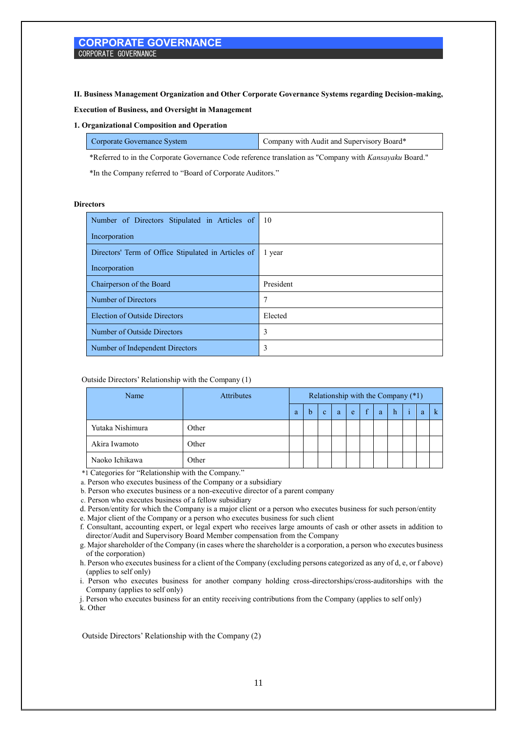**II. Business Management Organization and Other Corporate Governance Systems regarding Decision-making,** 

**Execution of Business, and Oversight in Management**

#### **1. Organizational Composition and Operation**

| Corporate Governance System | Company with Audit and Supervisory Board* |
|-----------------------------|-------------------------------------------|
|-----------------------------|-------------------------------------------|

\*Referred to in the Corporate Governance Code reference translation as "Company with *Kansayaku* Board."

\*In the Company referred to "Board of Corporate Auditors."

#### **Directors**

| Number of Directors Stipulated in Articles of       | - 10      |
|-----------------------------------------------------|-----------|
| Incorporation                                       |           |
| Directors' Term of Office Stipulated in Articles of | 1 year    |
| Incorporation                                       |           |
| Chairperson of the Board                            | President |
| Number of Directors                                 | 7         |
| <b>Election of Outside Directors</b>                | Elected   |
| Number of Outside Directors                         | 3         |
| Number of Independent Directors                     | 3         |

#### Outside Directors' Relationship with the Company (1)

| Name             | <b>Attributes</b> | Relationship with the Company (*1) |   |              |   |   |              |   |   |   |  |
|------------------|-------------------|------------------------------------|---|--------------|---|---|--------------|---|---|---|--|
|                  |                   | a                                  | b | $\mathbf{c}$ | a | e | $\mathbf{f}$ | a | h | a |  |
| Yutaka Nishimura | Other             |                                    |   |              |   |   |              |   |   |   |  |
| Akira Iwamoto    | Other             |                                    |   |              |   |   |              |   |   |   |  |
| Naoko Ichikawa   | Other             |                                    |   |              |   |   |              |   |   |   |  |

\*1 Categories for "Relationship with the Company."

a. Person who executes business of the Company or a subsidiary

b. Person who executes business or a non-executive director of a parent company

c. Person who executes business of a fellow subsidiary

d. Person/entity for which the Company is a major client or a person who executes business for such person/entity

e. Major client of the Company or a person who executes business for such client

f. Consultant, accounting expert, or legal expert who receives large amounts of cash or other assets in addition to director/Audit and Supervisory Board Member compensation from the Company

g. Major shareholder of the Company (in cases where the shareholder is a corporation, a person who executes business of the corporation)

h. Person who executes business for a client of the Company (excluding persons categorized as any of d, e, or f above) (applies to self only)

i. Person who executes business for another company holding cross-directorships/cross-auditorships with the Company (applies to self only)

j. Person who executes business for an entity receiving contributions from the Company (applies to self only)

k. Other

Outside Directors' Relationship with the Company (2)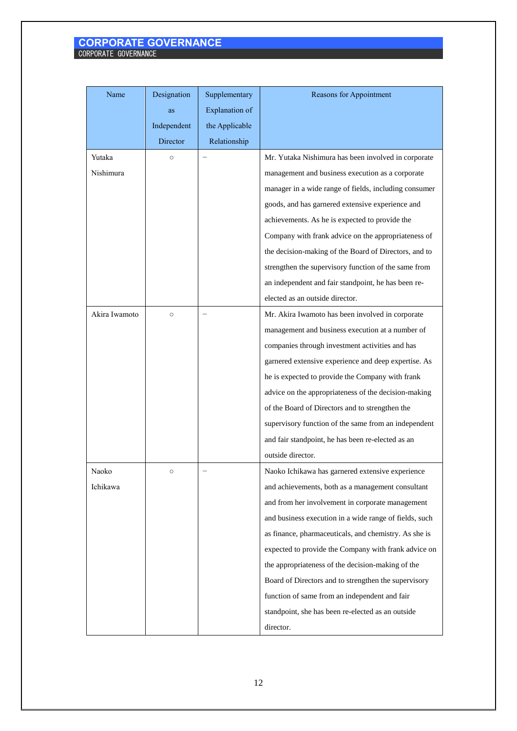| Name          | Designation<br>as | Supplementary<br>Explanation of | Reasons for Appointment                                |
|---------------|-------------------|---------------------------------|--------------------------------------------------------|
|               | Independent       | the Applicable                  |                                                        |
|               | Director          | Relationship                    |                                                        |
| Yutaka        | $\circ$           |                                 | Mr. Yutaka Nishimura has been involved in corporate    |
| Nishimura     |                   |                                 | management and business execution as a corporate       |
|               |                   |                                 | manager in a wide range of fields, including consumer  |
|               |                   |                                 | goods, and has garnered extensive experience and       |
|               |                   |                                 | achievements. As he is expected to provide the         |
|               |                   |                                 | Company with frank advice on the appropriateness of    |
|               |                   |                                 | the decision-making of the Board of Directors, and to  |
|               |                   |                                 | strengthen the supervisory function of the same from   |
|               |                   |                                 | an independent and fair standpoint, he has been re-    |
|               |                   |                                 | elected as an outside director.                        |
| Akira Iwamoto | $\circ$           |                                 | Mr. Akira Iwamoto has been involved in corporate       |
|               |                   |                                 | management and business execution at a number of       |
|               |                   |                                 | companies through investment activities and has        |
|               |                   |                                 | garnered extensive experience and deep expertise. As   |
|               |                   |                                 | he is expected to provide the Company with frank       |
|               |                   |                                 | advice on the appropriateness of the decision-making   |
|               |                   |                                 | of the Board of Directors and to strengthen the        |
|               |                   |                                 | supervisory function of the same from an independent   |
|               |                   |                                 | and fair standpoint, he has been re-elected as an      |
|               |                   |                                 | outside director.                                      |
| Naoko         | О                 |                                 | Naoko Ichikawa has garnered extensive experience       |
| Ichikawa      |                   |                                 | and achievements, both as a management consultant      |
|               |                   |                                 | and from her involvement in corporate management       |
|               |                   |                                 | and business execution in a wide range of fields, such |
|               |                   |                                 | as finance, pharmaceuticals, and chemistry. As she is  |
|               |                   |                                 | expected to provide the Company with frank advice on   |
|               |                   |                                 | the appropriateness of the decision-making of the      |
|               |                   |                                 | Board of Directors and to strengthen the supervisory   |
|               |                   |                                 | function of same from an independent and fair          |
|               |                   |                                 | standpoint, she has been re-elected as an outside      |
|               |                   |                                 | director.                                              |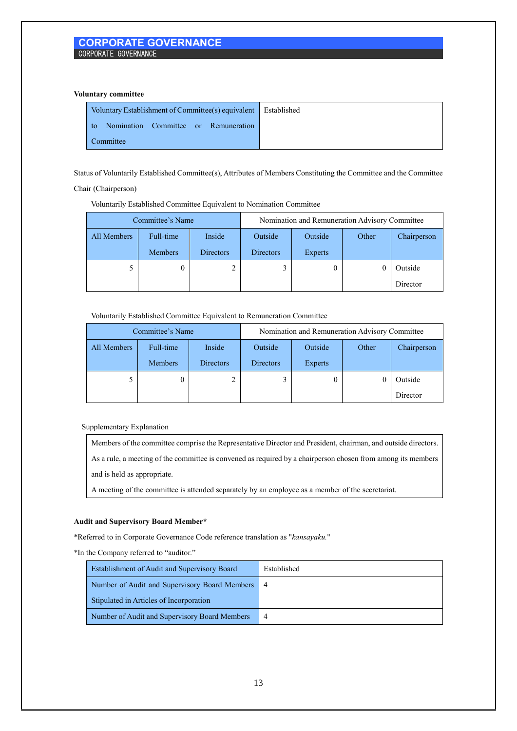#### **Voluntary committee**

| Voluntary Establishment of Committee(s) equivalent   Established |  |
|------------------------------------------------------------------|--|
| to Nomination Committee or Remuneration                          |  |
| Committee                                                        |  |

Status of Voluntarily Established Committee(s), Attributes of Members Constituting the Committee and the Committee

# Chair (Chairperson)

| Committee's Name |                |           | Nomination and Remuneration Advisory Committee |         |       |             |  |
|------------------|----------------|-----------|------------------------------------------------|---------|-------|-------------|--|
| All Members      | Full-time      | Inside    | Outside                                        | Outside | Other | Chairperson |  |
|                  | <b>Members</b> | Directors | <b>Directors</b>                               | Experts |       |             |  |
|                  |                |           |                                                | 0       |       | Outside     |  |
|                  |                |           |                                                |         |       | Director    |  |

#### Voluntarily Established Committee Equivalent to Remuneration Committee

| Committee's Name |                |                  | Nomination and Remuneration Advisory Committee |                |       |             |  |  |
|------------------|----------------|------------------|------------------------------------------------|----------------|-------|-------------|--|--|
| All Members      | Full-time      | Inside           | Outside                                        | Outside        | Other | Chairperson |  |  |
|                  | <b>Members</b> | <b>Directors</b> | <b>Directors</b>                               | <b>Experts</b> |       |             |  |  |
|                  | 0              |                  |                                                |                |       | Outside     |  |  |
|                  |                |                  |                                                |                |       | Director    |  |  |

### Supplementary Explanation

Members of the committee comprise the Representative Director and President, chairman, and outside directors.

As a rule, a meeting of the committee is convened as required by a chairperson chosen from among its members

and is held as appropriate.

A meeting of the committee is attended separately by an employee as a member of the secretariat.

## **Audit and Supervisory Board Member\***

\*Referred to in Corporate Governance Code reference translation as "*kansayaku.*"

\*In the Company referred to "auditor."

| Establishment of Audit and Supervisory Board  | Established |
|-----------------------------------------------|-------------|
| Number of Audit and Supervisory Board Members | -4          |
| Stipulated in Articles of Incorporation       |             |
| Number of Audit and Supervisory Board Members |             |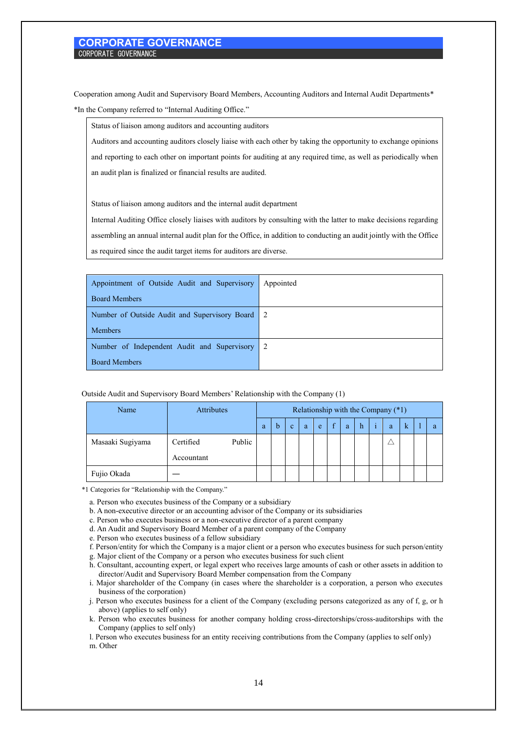Cooperation among Audit and Supervisory Board Members, Accounting Auditors and Internal Audit Departments\* \*In the Company referred to "Internal Auditing Office."

Status of liaison among auditors and accounting auditors

Auditors and accounting auditors closely liaise with each other by taking the opportunity to exchange opinions and reporting to each other on important points for auditing at any required time, as well as periodically when an audit plan is finalized or financial results are audited.

Status of liaison among auditors and the internal audit department

Internal Auditing Office closely liaises with auditors by consulting with the latter to make decisions regarding assembling an annual internal audit plan for the Office, in addition to conducting an audit jointly with the Office as required since the audit target items for auditors are diverse.

| Appointment of Outside Audit and Supervisory    | Appointed |
|-------------------------------------------------|-----------|
| <b>Board Members</b>                            |           |
| Number of Outside Audit and Supervisory Board 2 |           |
| <b>Members</b>                                  |           |
| Number of Independent Audit and Supervisory 2   |           |
| <b>Board Members</b>                            |           |

|  |  | Outside Audit and Supervisory Board Members' Relationship with the Company (1) |
|--|--|--------------------------------------------------------------------------------|
|  |  |                                                                                |

| Name             | <b>Attributes</b> |        | Relationship with the Company (*1) |   |              |   |   |              |   |   |   |   |   |   |
|------------------|-------------------|--------|------------------------------------|---|--------------|---|---|--------------|---|---|---|---|---|---|
|                  |                   |        | a                                  | b | $\mathbf{c}$ | a | e | $\mathbf{f}$ | a | h | ÷ | a | k | a |
| Masaaki Sugiyama | Certified         | Public |                                    |   |              |   |   |              |   |   |   |   |   |   |
|                  | Accountant        |        |                                    |   |              |   |   |              |   |   |   |   |   |   |
| Fujio Okada      |                   |        |                                    |   |              |   |   |              |   |   |   |   |   |   |

\*1 Categories for "Relationship with the Company."

a. Person who executes business of the Company or a subsidiary

b. A non-executive director or an accounting advisor of the Company or its subsidiaries

c. Person who executes business or a non-executive director of a parent company

d. An Audit and Supervisory Board Member of a parent company of the Company

e. Person who executes business of a fellow subsidiary

f. Person/entity for which the Company is a major client or a person who executes business for such person/entity

g. Major client of the Company or a person who executes business for such client

h. Consultant, accounting expert, or legal expert who receives large amounts of cash or other assets in addition to director/Audit and Supervisory Board Member compensation from the Company

i. Major shareholder of the Company (in cases where the shareholder is a corporation, a person who executes business of the corporation)

j. Person who executes business for a client of the Company (excluding persons categorized as any of f, g, or h above) (applies to self only)

k. Person who executes business for another company holding cross-directorships/cross-auditorships with the Company (applies to self only)

l. Person who executes business for an entity receiving contributions from the Company (applies to self only) m. Other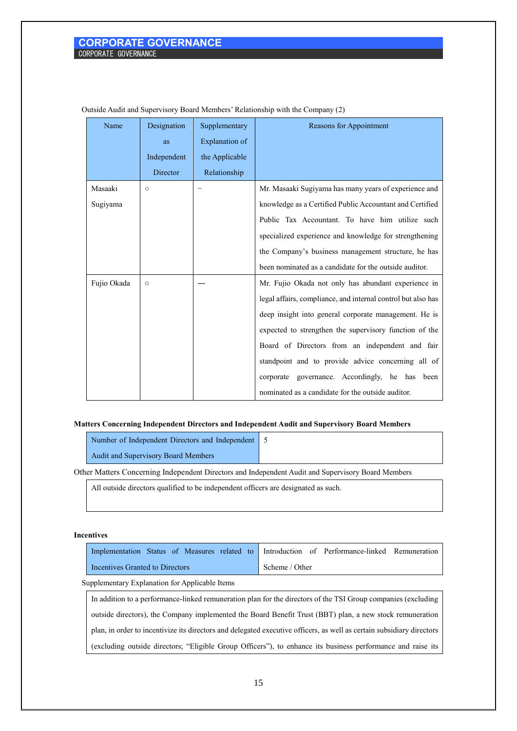| Name        | Designation | Supplementary  | Reasons for Appointment                                      |
|-------------|-------------|----------------|--------------------------------------------------------------|
|             | as          | Explanation of |                                                              |
|             | Independent | the Applicable |                                                              |
|             | Director    | Relationship   |                                                              |
| Masaaki     | $\circ$     |                | Mr. Masaaki Sugiyama has many years of experience and        |
| Sugiyama    |             |                | knowledge as a Certified Public Accountant and Certified     |
|             |             |                | Public Tax Accountant. To have him utilize such              |
|             |             |                | specialized experience and knowledge for strengthening       |
|             |             |                | the Company's business management structure, he has          |
|             |             |                | been nominated as a candidate for the outside auditor.       |
| Fujio Okada | $\circ$     |                | Mr. Fujio Okada not only has abundant experience in          |
|             |             |                | legal affairs, compliance, and internal control but also has |
|             |             |                | deep insight into general corporate management. He is        |
|             |             |                | expected to strengthen the supervisory function of the       |
|             |             |                | Board of Directors from an independent and fair              |
|             |             |                | standpoint and to provide advice concerning all of           |
|             |             |                | corporate governance. Accordingly, he has been               |
|             |             |                | nominated as a candidate for the outside auditor.            |

Outside Audit and Supervisory Board Members' Relationship with the Company (2)

# **Matters Concerning Independent Directors and Independent Audit and Supervisory Board Members**

| Number of Independent Directors and Independent 5 |  |
|---------------------------------------------------|--|
| Audit and Supervisory Board Members               |  |

Other Matters Concerning Independent Directors and Independent Audit and Supervisory Board Members

All outside directors qualified to be independent officers are designated as such.

#### **Incentives**

|                                                                                                               | Implementation Status of Measures related to Introduction of Performance-linked Remuneration |  |  |  |  |
|---------------------------------------------------------------------------------------------------------------|----------------------------------------------------------------------------------------------|--|--|--|--|
| Incentives Granted to Directors                                                                               | Scheme / Other                                                                               |  |  |  |  |
| Supplementary Explanation for Applicable Items                                                                |                                                                                              |  |  |  |  |
| In addition to a performance-linked remuneration plan for the directors of the TSI Group companies (excluding |                                                                                              |  |  |  |  |

outside directors), the Company implemented the Board Benefit Trust (BBT) plan, a new stock remuneration plan, in order to incentivize its directors and delegated executive officers, as well as certain subsidiary directors (excluding outside directors; "Eligible Group Officers"), to enhance its business performance and raise its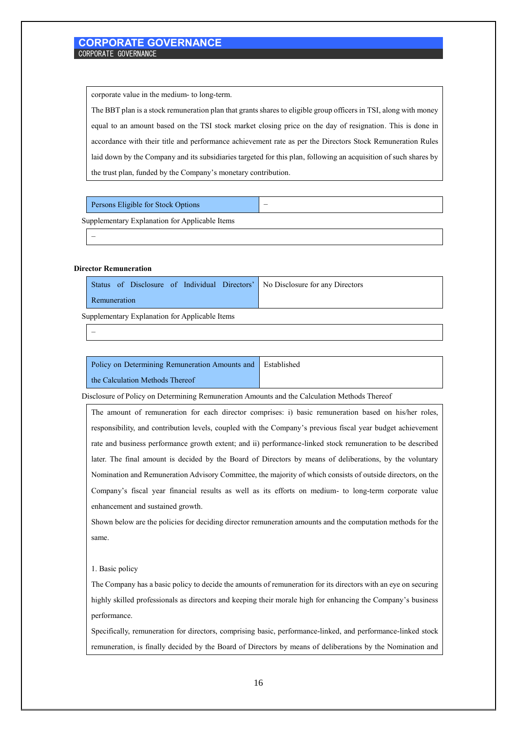corporate value in the medium- to long-term.

The BBT plan is a stock remuneration plan that grants shares to eligible group officers in TSI, along with money equal to an amount based on the TSI stock market closing price on the day of resignation. This is done in accordance with their title and performance achievement rate as per the Directors Stock Remuneration Rules laid down by the Company and its subsidiaries targeted for this plan, following an acquisition of such shares by the trust plan, funded by the Company's monetary contribution.

| Persons Eligible for Stock Options | $\overline{\phantom{a}}$ |
|------------------------------------|--------------------------|
| . <del>.</del>                     |                          |

Supplementary Explanation for Applicable Items

## **Director Remuneration**

−

−

|              |  |  | Status of Disclosure of Individual Directors' No Disclosure for any Directors |
|--------------|--|--|-------------------------------------------------------------------------------|
| Remuneration |  |  |                                                                               |

Supplementary Explanation for Applicable Items

| Policy on Determining Remuneration Amounts and Established |  |
|------------------------------------------------------------|--|
| the Calculation Methods Thereof                            |  |

Disclosure of Policy on Determining Remuneration Amounts and the Calculation Methods Thereof

The amount of remuneration for each director comprises: i) basic remuneration based on his/her roles, responsibility, and contribution levels, coupled with the Company's previous fiscal year budget achievement rate and business performance growth extent; and ii) performance-linked stock remuneration to be described later. The final amount is decided by the Board of Directors by means of deliberations, by the voluntary Nomination and Remuneration Advisory Committee, the majority of which consists of outside directors, on the Company's fiscal year financial results as well as its efforts on medium- to long-term corporate value enhancement and sustained growth.

Shown below are the policies for deciding director remuneration amounts and the computation methods for the same.

#### 1. Basic policy

The Company has a basic policy to decide the amounts of remuneration for its directors with an eye on securing highly skilled professionals as directors and keeping their morale high for enhancing the Company's business performance.

Specifically, remuneration for directors, comprising basic, performance-linked, and performance-linked stock remuneration, is finally decided by the Board of Directors by means of deliberations by the Nomination and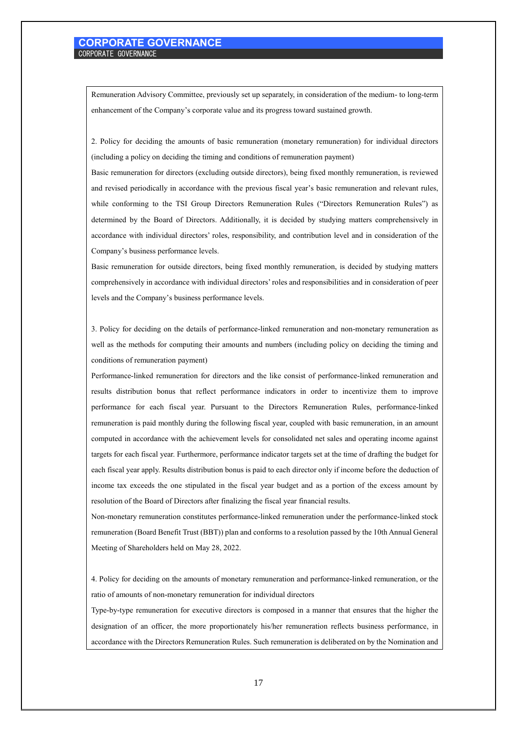Remuneration Advisory Committee, previously set up separately, in consideration of the medium- to long-term enhancement of the Company's corporate value and its progress toward sustained growth.

2. Policy for deciding the amounts of basic remuneration (monetary remuneration) for individual directors (including a policy on deciding the timing and conditions of remuneration payment)

Basic remuneration for directors (excluding outside directors), being fixed monthly remuneration, is reviewed and revised periodically in accordance with the previous fiscal year's basic remuneration and relevant rules, while conforming to the TSI Group Directors Remuneration Rules ("Directors Remuneration Rules") as determined by the Board of Directors. Additionally, it is decided by studying matters comprehensively in accordance with individual directors' roles, responsibility, and contribution level and in consideration of the Company's business performance levels.

Basic remuneration for outside directors, being fixed monthly remuneration, is decided by studying matters comprehensively in accordance with individual directors' roles and responsibilities and in consideration of peer levels and the Company's business performance levels.

3. Policy for deciding on the details of performance-linked remuneration and non-monetary remuneration as well as the methods for computing their amounts and numbers (including policy on deciding the timing and conditions of remuneration payment)

Performance-linked remuneration for directors and the like consist of performance-linked remuneration and results distribution bonus that reflect performance indicators in order to incentivize them to improve performance for each fiscal year. Pursuant to the Directors Remuneration Rules, performance-linked remuneration is paid monthly during the following fiscal year, coupled with basic remuneration, in an amount computed in accordance with the achievement levels for consolidated net sales and operating income against targets for each fiscal year. Furthermore, performance indicator targets set at the time of drafting the budget for each fiscal year apply. Results distribution bonus is paid to each director only if income before the deduction of income tax exceeds the one stipulated in the fiscal year budget and as a portion of the excess amount by resolution of the Board of Directors after finalizing the fiscal year financial results.

Non-monetary remuneration constitutes performance-linked remuneration under the performance-linked stock remuneration (Board Benefit Trust (BBT)) plan and conforms to a resolution passed by the 10th Annual General Meeting of Shareholders held on May 28, 2022.

4. Policy for deciding on the amounts of monetary remuneration and performance-linked remuneration, or the ratio of amounts of non-monetary remuneration for individual directors

Type-by-type remuneration for executive directors is composed in a manner that ensures that the higher the designation of an officer, the more proportionately his/her remuneration reflects business performance, in accordance with the Directors Remuneration Rules. Such remuneration is deliberated on by the Nomination and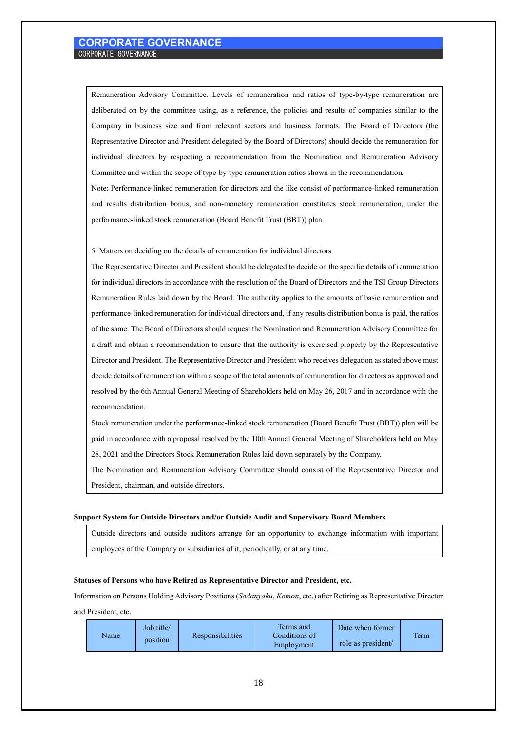Remuneration Advisory Committee. Levels of remuneration and ratios of type-by-type remuneration are deliberated on by the committee using, as a reference, the policies and results of companies similar to the Company in business size and from relevant sectors and business formats. The Board of Directors (the Representative Director and President delegated by the Board of Directors) should decide the remuneration for individual directors by respecting a recommendation from the Nomination and Remuneration Advisory Committee and within the scope of type-by-type remuneration ratios shown in the recommendation.

Note: Performance-linked remuneration for directors and the like consist of performance-linked remuneration and results distribution bonus, and non-monetary remuneration constitutes stock remuneration, under the performance-linked stock remuneration (Board Benefit Trust (BBT)) plan.

5. Matters on deciding on the details of remuneration for individual directors

The Representative Director and President should be delegated to decide on the specific details of remuneration for individual directors in accordance with the resolution of the Board of Directors and the TSI Group Directors Remuneration Rules laid down by the Board. The authority applies to the amounts of basic remuneration and performance-linked remuneration for individual directors and, if any results distribution bonus is paid, the ratios of the same. The Board of Directors should request the Nomination and Remuneration Advisory Committee for a draft and obtain a recommendation to ensure that the authority is exercised properly by the Representative Director and President. The Representative Director and President who receives delegation as stated above must decide details of remuneration within a scope of the total amounts of remuneration for directors as approved and resolved by the 6th Annual General Meeting of Shareholders held on May 26, 2017 and in accordance with the recommendation.

Stock remuneration under the performance-linked stock remuneration (Board Benefit Trust (BBT)) plan will be paid in accordance with a proposal resolved by the 10th Annual General Meeting of Shareholders held on May 28, 2021 and the Directors Stock Remuneration Rules laid down separately by the Company.

The Nomination and Remuneration Advisory Committee should consist of the Representative Director and President, chairman, and outside directors.

#### **Support System for Outside Directors and/or Outside Audit and Supervisory Board Members**

Outside directors and outside auditors arrange for an opportunity to exchange information with important employees of the Company or subsidiaries of it, periodically, or at any time.

#### **Statuses of Persons who have Retired as Representative Director and President, etc.**

Information on Persons Holding Advisory Positions (*Sodanyaku*, *Komon*, etc.) after Retiring as Representative Director and President, etc.

| Name | Job title/<br>position | Responsibilities | Terms and<br>Conditions of<br>Employment | Date when former<br>role as president/ | <b>Term</b> |
|------|------------------------|------------------|------------------------------------------|----------------------------------------|-------------|
|------|------------------------|------------------|------------------------------------------|----------------------------------------|-------------|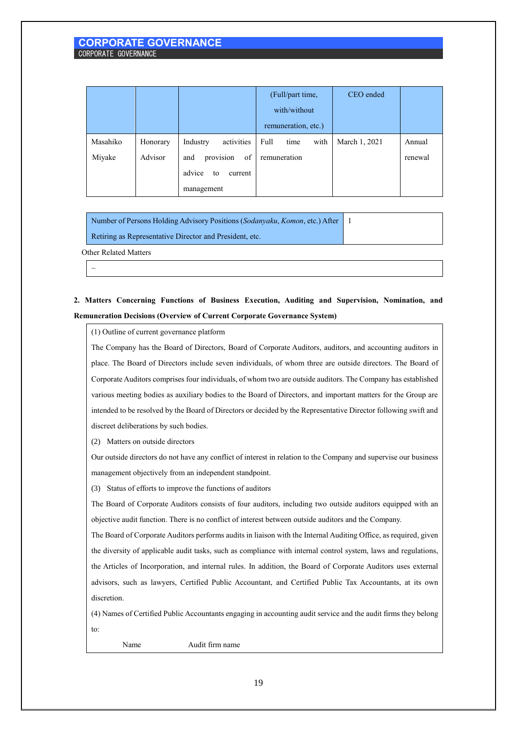|          |          |                         | (Full/part time,     | CEO ended     |         |
|----------|----------|-------------------------|----------------------|---------------|---------|
|          |          |                         | with/without         |               |         |
|          |          |                         | remuneration, etc.)  |               |         |
| Masahiko | Honorary | activities<br>Industry  | Full<br>time<br>with | March 1, 2021 | Annual  |
| Miyake   | Advisor  | provision<br>of<br>and  | remuneration         |               | renewal |
|          |          | advice<br>current<br>to |                      |               |         |
|          |          | management              |                      |               |         |

1

Number of Persons Holding Advisory Positions (*Sodanyaku*, *Komon*, etc.) After

Retiring as Representative Director and President, etc.

Other Related Matters

−

# **2. Matters Concerning Functions of Business Execution, Auditing and Supervision, Nomination, and Remuneration Decisions (Overview of Current Corporate Governance System)**

(1) Outline of current governance platform

The Company has the Board of Directors, Board of Corporate Auditors, auditors, and accounting auditors in place. The Board of Directors include seven individuals, of whom three are outside directors. The Board of Corporate Auditors comprises four individuals, of whom two are outside auditors. The Company has established various meeting bodies as auxiliary bodies to the Board of Directors, and important matters for the Group are intended to be resolved by the Board of Directors or decided by the Representative Director following swift and discreet deliberations by such bodies.

(2) Matters on outside directors

Our outside directors do not have any conflict of interest in relation to the Company and supervise our business management objectively from an independent standpoint.

(3) Status of efforts to improve the functions of auditors

The Board of Corporate Auditors consists of four auditors, including two outside auditors equipped with an objective audit function. There is no conflict of interest between outside auditors and the Company.

The Board of Corporate Auditors performs audits in liaison with the Internal Auditing Office, as required, given the diversity of applicable audit tasks, such as compliance with internal control system, laws and regulations, the Articles of Incorporation, and internal rules. In addition, the Board of Corporate Auditors uses external advisors, such as lawyers, Certified Public Accountant, and Certified Public Tax Accountants, at its own discretion.

(4) Names of Certified Public Accountants engaging in accounting audit service and the audit firms they belong to:

Name Audit firm name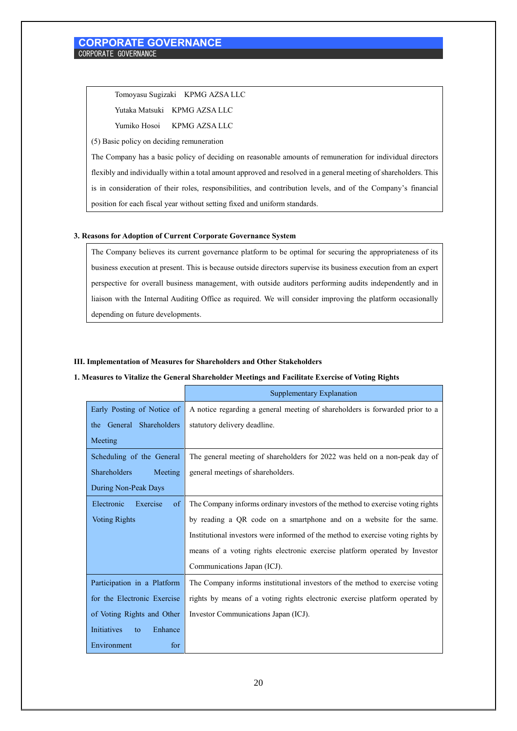Tomoyasu Sugizaki KPMG AZSA LLC

Yutaka Matsuki KPMG AZSA LLC

Yumiko Hosoi KPMG AZSA LLC

(5) Basic policy on deciding remuneration

The Company has a basic policy of deciding on reasonable amounts of remuneration for individual directors flexibly and individually within a total amount approved and resolved in a general meeting of shareholders. This is in consideration of their roles, responsibilities, and contribution levels, and of the Company's financial position for each fiscal year without setting fixed and uniform standards.

# **3. Reasons for Adoption of Current Corporate Governance System**

The Company believes its current governance platform to be optimal for securing the appropriateness of its business execution at present. This is because outside directors supervise its business execution from an expert perspective for overall business management, with outside auditors performing audits independently and in liaison with the Internal Auditing Office as required. We will consider improving the platform occasionally depending on future developments.

# **III. Implementation of Measures for Shareholders and Other Stakeholders**

### **1. Measures to Vitalize the General Shareholder Meetings and Facilitate Exercise of Voting Rights**

|                                         | Supplementary Explanation                                                        |
|-----------------------------------------|----------------------------------------------------------------------------------|
| Early Posting of Notice of              | A notice regarding a general meeting of shareholders is forwarded prior to a     |
| the General Shareholders                | statutory delivery deadline.                                                     |
| Meeting                                 |                                                                                  |
| Scheduling of the General               | The general meeting of shareholders for 2022 was held on a non-peak day of       |
| Shareholders<br>Meeting                 | general meetings of shareholders.                                                |
| During Non-Peak Days                    |                                                                                  |
| Exercise<br>Electronic<br><sub>of</sub> | The Company informs ordinary investors of the method to exercise voting rights   |
| <b>Voting Rights</b>                    | by reading a QR code on a smartphone and on a website for the same.              |
|                                         | Institutional investors were informed of the method to exercise voting rights by |
|                                         | means of a voting rights electronic exercise platform operated by Investor       |
|                                         | Communications Japan (ICJ).                                                      |
| Participation in a Platform             | The Company informs institutional investors of the method to exercise voting     |
| for the Electronic Exercise             | rights by means of a voting rights electronic exercise platform operated by      |
| of Voting Rights and Other              | Investor Communications Japan (ICJ).                                             |
| <b>Initiatives</b><br>Enhance<br>to     |                                                                                  |
| Environment<br>for                      |                                                                                  |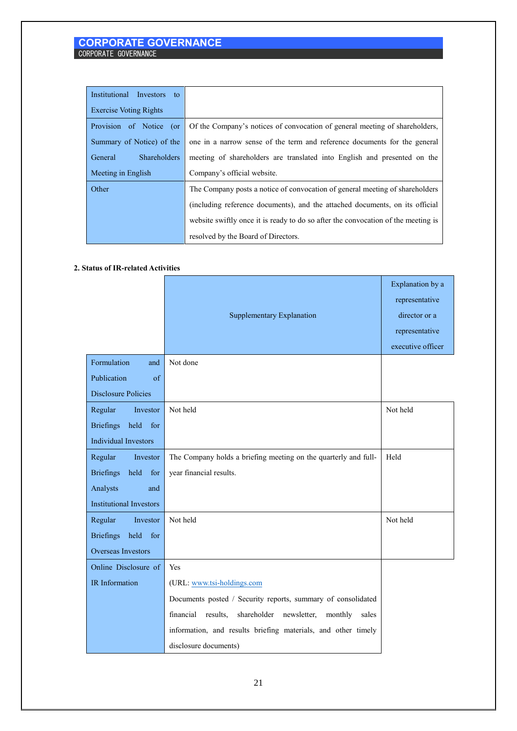| Institutional Investors to     |                                                                                   |
|--------------------------------|-----------------------------------------------------------------------------------|
| <b>Exercise Voting Rights</b>  |                                                                                   |
| Provision of Notice (or        | Of the Company's notices of convocation of general meeting of shareholders,       |
| Summary of Notice) of the      | one in a narrow sense of the term and reference documents for the general         |
| <b>Shareholders</b><br>General | meeting of shareholders are translated into English and presented on the          |
|                                |                                                                                   |
| Meeting in English             | Company's official website.                                                       |
| Other                          | The Company posts a notice of convocation of general meeting of shareholders      |
|                                | (including reference documents), and the attached documents, on its official      |
|                                | website swiftly once it is ready to do so after the convocation of the meeting is |

# **2. Status of IR-related Activities**

|                                 | <b>Supplementary Explanation</b>                                  | Explanation by a<br>representative<br>director or a<br>representative |
|---------------------------------|-------------------------------------------------------------------|-----------------------------------------------------------------------|
|                                 |                                                                   | executive officer                                                     |
| Formulation<br>and              | Not done                                                          |                                                                       |
| Publication<br>of               |                                                                   |                                                                       |
| <b>Disclosure Policies</b>      |                                                                   |                                                                       |
| Regular<br>Investor             | Not held                                                          | Not held                                                              |
| <b>Briefings</b><br>held for    |                                                                   |                                                                       |
| <b>Individual Investors</b>     |                                                                   |                                                                       |
| Regular<br>Investor             | The Company holds a briefing meeting on the quarterly and full-   | Held                                                                  |
| <b>Briefings</b><br>held<br>for | year financial results.                                           |                                                                       |
| Analysts<br>and                 |                                                                   |                                                                       |
| <b>Institutional Investors</b>  |                                                                   |                                                                       |
| Regular<br>Investor             | Not held                                                          | Not held                                                              |
| Briefings held for              |                                                                   |                                                                       |
| <b>Overseas Investors</b>       |                                                                   |                                                                       |
| Online Disclosure of            | Yes                                                               |                                                                       |
| IR Information                  | (URL: www.tsi-holdings.com                                        |                                                                       |
|                                 | Documents posted / Security reports, summary of consolidated      |                                                                       |
|                                 | financial results,<br>shareholder newsletter,<br>monthly<br>sales |                                                                       |
|                                 | information, and results briefing materials, and other timely     |                                                                       |
|                                 | disclosure documents)                                             |                                                                       |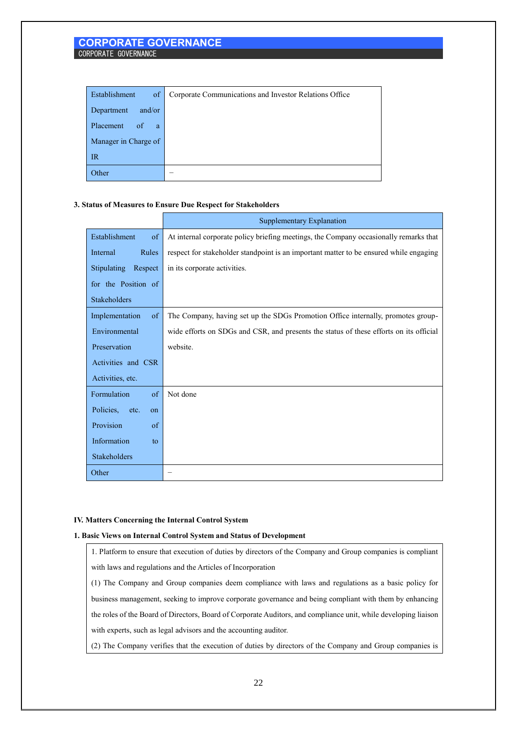| Establishment<br>of          | Corporate Communications and Investor Relations Office |
|------------------------------|--------------------------------------------------------|
| and/or<br>Department         |                                                        |
| Placement<br>$\circ$ of<br>a |                                                        |
| Manager in Charge of         |                                                        |
| IR                           |                                                        |
| Other                        |                                                        |

# **3. Status of Measures to Ensure Due Respect for Stakeholders**

|                                 | Supplementary Explanation                                                              |
|---------------------------------|----------------------------------------------------------------------------------------|
| Establishment<br>of             | At internal corporate policy briefing meetings, the Company occasionally remarks that  |
| Rules<br>Internal               | respect for stakeholder standpoint is an important matter to be ensured while engaging |
| Stipulating Respect             | in its corporate activities.                                                           |
| for the Position of             |                                                                                        |
| <b>Stakeholders</b>             |                                                                                        |
| Implementation<br><sub>of</sub> | The Company, having set up the SDGs Promotion Office internally, promotes group-       |
| Environmental                   | wide efforts on SDGs and CSR, and presents the status of these efforts on its official |
| Preservation                    | website.                                                                               |
| Activities and CSR              |                                                                                        |
| Activities, etc.                |                                                                                        |
| $\sigma$ f<br>Formulation       | Not done                                                                               |
| Policies,<br>etc.<br>on         |                                                                                        |
| Provision<br>of                 |                                                                                        |
| Information<br>to               |                                                                                        |
| Stakeholders                    |                                                                                        |
| Other                           |                                                                                        |

#### **IV. Matters Concerning the Internal Control System**

#### **1. Basic Views on Internal Control System and Status of Development**

1. Platform to ensure that execution of duties by directors of the Company and Group companies is compliant with laws and regulations and the Articles of Incorporation

(1) The Company and Group companies deem compliance with laws and regulations as a basic policy for business management, seeking to improve corporate governance and being compliant with them by enhancing the roles of the Board of Directors, Board of Corporate Auditors, and compliance unit, while developing liaison with experts, such as legal advisors and the accounting auditor.

(2) The Company verifies that the execution of duties by directors of the Company and Group companies is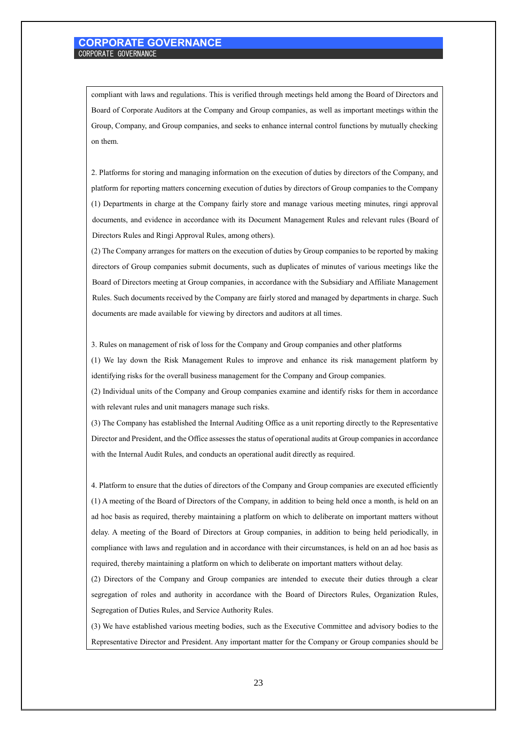compliant with laws and regulations. This is verified through meetings held among the Board of Directors and Board of Corporate Auditors at the Company and Group companies, as well as important meetings within the Group, Company, and Group companies, and seeks to enhance internal control functions by mutually checking on them.

2. Platforms for storing and managing information on the execution of duties by directors of the Company, and platform for reporting matters concerning execution of duties by directors of Group companies to the Company (1) Departments in charge at the Company fairly store and manage various meeting minutes, ringi approval documents, and evidence in accordance with its Document Management Rules and relevant rules (Board of Directors Rules and Ringi Approval Rules, among others).

(2) The Company arranges for matters on the execution of duties by Group companies to be reported by making directors of Group companies submit documents, such as duplicates of minutes of various meetings like the Board of Directors meeting at Group companies, in accordance with the Subsidiary and Affiliate Management Rules. Such documents received by the Company are fairly stored and managed by departments in charge. Such documents are made available for viewing by directors and auditors at all times.

3. Rules on management of risk of loss for the Company and Group companies and other platforms

(1) We lay down the Risk Management Rules to improve and enhance its risk management platform by identifying risks for the overall business management for the Company and Group companies.

(2) Individual units of the Company and Group companies examine and identify risks for them in accordance with relevant rules and unit managers manage such risks.

(3) The Company has established the Internal Auditing Office as a unit reporting directly to the Representative Director and President, and the Office assesses the status of operational audits at Group companies in accordance with the Internal Audit Rules, and conducts an operational audit directly as required.

4. Platform to ensure that the duties of directors of the Company and Group companies are executed efficiently (1) A meeting of the Board of Directors of the Company, in addition to being held once a month, is held on an ad hoc basis as required, thereby maintaining a platform on which to deliberate on important matters without delay. A meeting of the Board of Directors at Group companies, in addition to being held periodically, in compliance with laws and regulation and in accordance with their circumstances, is held on an ad hoc basis as required, thereby maintaining a platform on which to deliberate on important matters without delay.

(2) Directors of the Company and Group companies are intended to execute their duties through a clear segregation of roles and authority in accordance with the Board of Directors Rules, Organization Rules, Segregation of Duties Rules, and Service Authority Rules.

(3) We have established various meeting bodies, such as the Executive Committee and advisory bodies to the Representative Director and President. Any important matter for the Company or Group companies should be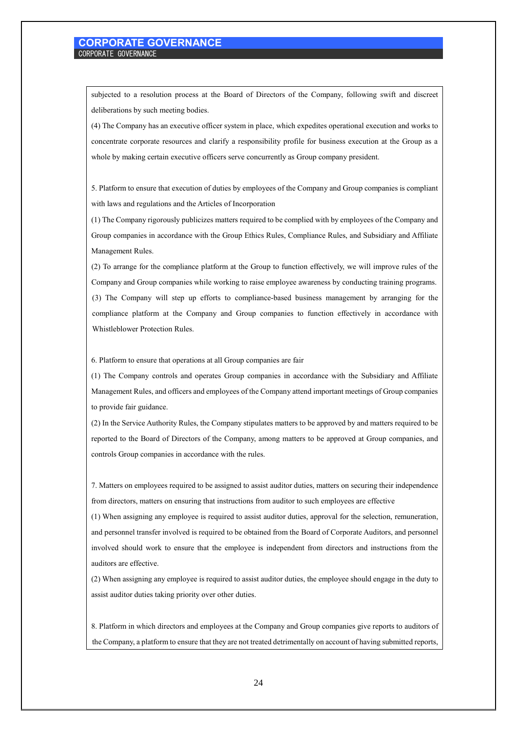subjected to a resolution process at the Board of Directors of the Company, following swift and discreet deliberations by such meeting bodies.

(4) The Company has an executive officer system in place, which expedites operational execution and works to concentrate corporate resources and clarify a responsibility profile for business execution at the Group as a whole by making certain executive officers serve concurrently as Group company president.

5. Platform to ensure that execution of duties by employees of the Company and Group companies is compliant with laws and regulations and the Articles of Incorporation

(1) The Company rigorously publicizes matters required to be complied with by employees of the Company and Group companies in accordance with the Group Ethics Rules, Compliance Rules, and Subsidiary and Affiliate Management Rules.

(2) To arrange for the compliance platform at the Group to function effectively, we will improve rules of the Company and Group companies while working to raise employee awareness by conducting training programs. (3) The Company will step up efforts to compliance-based business management by arranging for the compliance platform at the Company and Group companies to function effectively in accordance with Whistleblower Protection Rules.

6. Platform to ensure that operations at all Group companies are fair

(1) The Company controls and operates Group companies in accordance with the Subsidiary and Affiliate Management Rules, and officers and employees of the Company attend important meetings of Group companies to provide fair guidance.

(2) In the Service Authority Rules, the Company stipulates matters to be approved by and matters required to be reported to the Board of Directors of the Company, among matters to be approved at Group companies, and controls Group companies in accordance with the rules.

7. Matters on employees required to be assigned to assist auditor duties, matters on securing their independence from directors, matters on ensuring that instructions from auditor to such employees are effective

(1) When assigning any employee is required to assist auditor duties, approval for the selection, remuneration, and personnel transfer involved is required to be obtained from the Board of Corporate Auditors, and personnel involved should work to ensure that the employee is independent from directors and instructions from the auditors are effective.

(2) When assigning any employee is required to assist auditor duties, the employee should engage in the duty to assist auditor duties taking priority over other duties.

8. Platform in which directors and employees at the Company and Group companies give reports to auditors of the Company, a platform to ensure that they are not treated detrimentally on account of having submitted reports,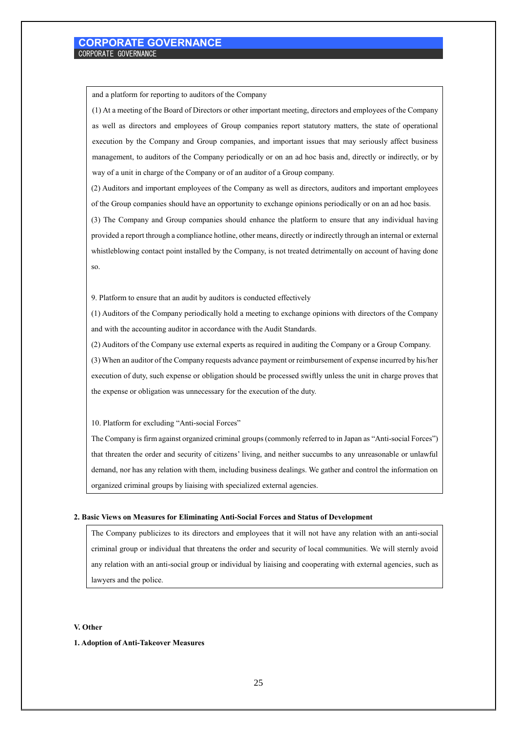and a platform for reporting to auditors of the Company

(1) At a meeting of the Board of Directors or other important meeting, directors and employees of the Company as well as directors and employees of Group companies report statutory matters, the state of operational execution by the Company and Group companies, and important issues that may seriously affect business management, to auditors of the Company periodically or on an ad hoc basis and, directly or indirectly, or by way of a unit in charge of the Company or of an auditor of a Group company.

(2) Auditors and important employees of the Company as well as directors, auditors and important employees of the Group companies should have an opportunity to exchange opinions periodically or on an ad hoc basis.

(3) The Company and Group companies should enhance the platform to ensure that any individual having provided a report through a compliance hotline, other means, directly or indirectly through an internal or external whistleblowing contact point installed by the Company, is not treated detrimentally on account of having done so.

9. Platform to ensure that an audit by auditors is conducted effectively

(1) Auditors of the Company periodically hold a meeting to exchange opinions with directors of the Company and with the accounting auditor in accordance with the Audit Standards.

(2) Auditors of the Company use external experts as required in auditing the Company or a Group Company.

(3) When an auditor of the Company requests advance payment or reimbursement of expense incurred by his/her execution of duty, such expense or obligation should be processed swiftly unless the unit in charge proves that the expense or obligation was unnecessary for the execution of the duty.

10. Platform for excluding "Anti-social Forces"

The Company is firm against organized criminal groups (commonly referred to in Japan as "Anti-social Forces") that threaten the order and security of citizens' living, and neither succumbs to any unreasonable or unlawful demand, nor has any relation with them, including business dealings. We gather and control the information on organized criminal groups by liaising with specialized external agencies.

#### **2. Basic Views on Measures for Eliminating Anti-Social Forces and Status of Development**

The Company publicizes to its directors and employees that it will not have any relation with an anti-social criminal group or individual that threatens the order and security of local communities. We will sternly avoid any relation with an anti-social group or individual by liaising and cooperating with external agencies, such as lawyers and the police.

#### **V. Other**

#### **1. Adoption of Anti-Takeover Measures**